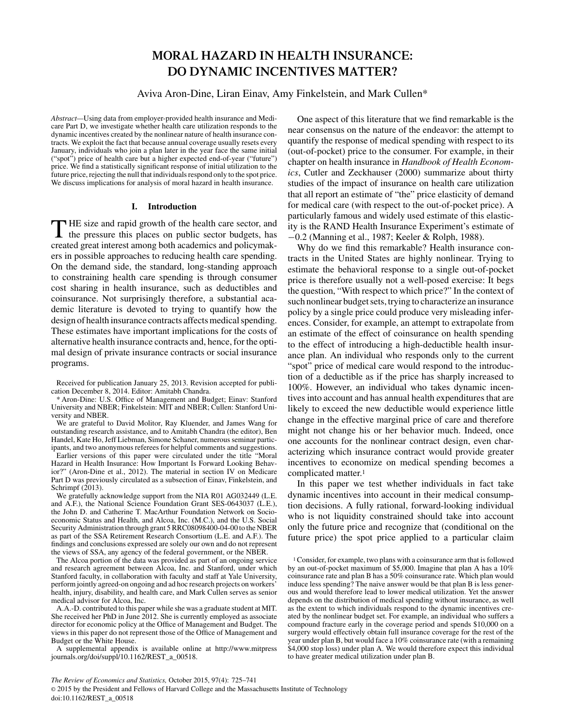# **MORAL HAZARD IN HEALTH INSURANCE: DO DYNAMIC INCENTIVES MATTER?**

Aviva Aron-Dine, Liran Einav, Amy Finkelstein, and Mark Cullen\*

*Abstract—*Using data from employer-provided health insurance and Medicare Part D, we investigate whether health care utilization responds to the dynamic incentives created by the nonlinear nature of health insurance contracts. We exploit the fact that because annual coverage usually resets every January, individuals who join a plan later in the year face the same initial ("spot") price of health care but a higher expected end-of-year ("future") price. We find a statistically significant response of initial utilization to the future price, rejecting the null that individuals respond only to the spot price. We discuss implications for analysis of moral hazard in health insurance.

## **I. Introduction**

THE size and rapid growth of the health care sector, and the pressure this places on public sector budgets, has created great interest among both academics and policymakers in possible approaches to reducing health care spending. On the demand side, the standard, long-standing approach to constraining health care spending is through consumer cost sharing in health insurance, such as deductibles and coinsurance. Not surprisingly therefore, a substantial academic literature is devoted to trying to quantify how the design of health insurance contracts affects medical spending. These estimates have important implications for the costs of alternative health insurance contracts and, hence, for the optimal design of private insurance contracts or social insurance programs.

Received for publication January 25, 2013. Revision accepted for publication December 8, 2014. Editor: Amitabh Chandra.

\* Aron-Dine: U.S. Office of Management and Budget; Einav: Stanford University and NBER; Finkelstein: MIT and NBER; Cullen: Stanford University and NBER.

We are grateful to David Molitor, Ray Kluender, and James Wang for outstanding research assistance, and to Amitabh Chandra (the editor), Ben Handel, Kate Ho, Jeff Liebman, Simone Schaner, numerous seminar participants, and two anonymous referees for helpful comments and suggestions.

Earlier versions of this paper were circulated under the title "Moral Hazard in Health Insurance: How Important Is Forward Looking Behavior?" (Aron-Dine et al., 2012). The material in section IV on Medicare Part D was previously circulated as a subsection of Einav, Finkelstein, and Schrimpf  $(2013)$ .

We gratefully acknowledge support from the NIA R01 AG032449 (L.E. and A.F.), the National Science Foundation Grant SES-0643037 (L.E.), the John D. and Catherine T. MacArthur Foundation Network on Socioeconomic Status and Health, and Alcoa, Inc. (M.C.), and the U.S. Social Security Administration through grant 5 RRC08098400-04-00 to the NBER as part of the SSA Retirement Research Consortium (L.E. and A.F.). The findings and conclusions expressed are solely our own and do not represent the views of SSA, any agency of the federal government, or the NBER.

The Alcoa portion of the data was provided as part of an ongoing service and research agreement between Alcoa, Inc. and Stanford, under which Stanford faculty, in collaboration with faculty and staff at Yale University, perform jointly agreed-on ongoing and ad hoc research projects on workers' health, injury, disability, and health care, and Mark Cullen serves as senior medical advisor for Alcoa, Inc.

A.A.-D. contributed to this paper while she was a graduate student at MIT. She received her PhD in June 2012. She is currently employed as associate director for economic policy at the Office of Management and Budget. The views in this paper do not represent those of the Office of Management and Budget or the White House.

A supplemental appendix is available online at http://www.mitpress journals.org/doi/suppl/10.1162/REST\_a\_00518.

One aspect of this literature that we find remarkable is the near consensus on the nature of the endeavor: the attempt to quantify the response of medical spending with respect to its (out-of-pocket) price to the consumer. For example, in their chapter on health insurance in *Handbook of Health Economics*, Cutler and Zeckhauser (2000) summarize about thirty studies of the impact of insurance on health care utilization that all report an estimate of "the" price elasticity of demand for medical care (with respect to the out-of-pocket price). A particularly famous and widely used estimate of this elasticity is the RAND Health Insurance Experiment's estimate of −0.2 (Manning et al., 1987; Keeler & Rolph, 1988).

Why do we find this remarkable? Health insurance contracts in the United States are highly nonlinear. Trying to estimate the behavioral response to a single out-of-pocket price is therefore usually not a well-posed exercise: It begs the question, "With respect to which price?" In the context of such nonlinear budget sets, trying to characterize an insurance policy by a single price could produce very misleading inferences. Consider, for example, an attempt to extrapolate from an estimate of the effect of coinsurance on health spending to the effect of introducing a high-deductible health insurance plan. An individual who responds only to the current "spot" price of medical care would respond to the introduction of a deductible as if the price has sharply increased to 100%. However, an individual who takes dynamic incentives into account and has annual health expenditures that are likely to exceed the new deductible would experience little change in the effective marginal price of care and therefore might not change his or her behavior much. Indeed, once one accounts for the nonlinear contract design, even characterizing which insurance contract would provide greater incentives to economize on medical spending becomes a complicated matter.1

In this paper we test whether individuals in fact take dynamic incentives into account in their medical consumption decisions. A fully rational, forward-looking individual who is not liquidity constrained should take into account only the future price and recognize that (conditional on the future price) the spot price applied to a particular claim

<sup>1</sup>Consider, for example, two plans with a coinsurance arm that is followed by an out-of-pocket maximum of \$5,000. Imagine that plan A has a 10% coinsurance rate and plan B has a 50% coinsurance rate. Which plan would induce less spending? The naive answer would be that plan B is less generous and would therefore lead to lower medical utilization. Yet the answer depends on the distribution of medical spending without insurance, as well as the extent to which individuals respond to the dynamic incentives created by the nonlinear budget set. For example, an individual who suffers a compound fracture early in the coverage period and spends \$10,000 on a surgery would effectively obtain full insurance coverage for the rest of the year under plan B, but would face a 10% coinsurance rate (with a remaining \$4,000 stop loss) under plan A. We would therefore expect this individual to have greater medical utilization under plan B.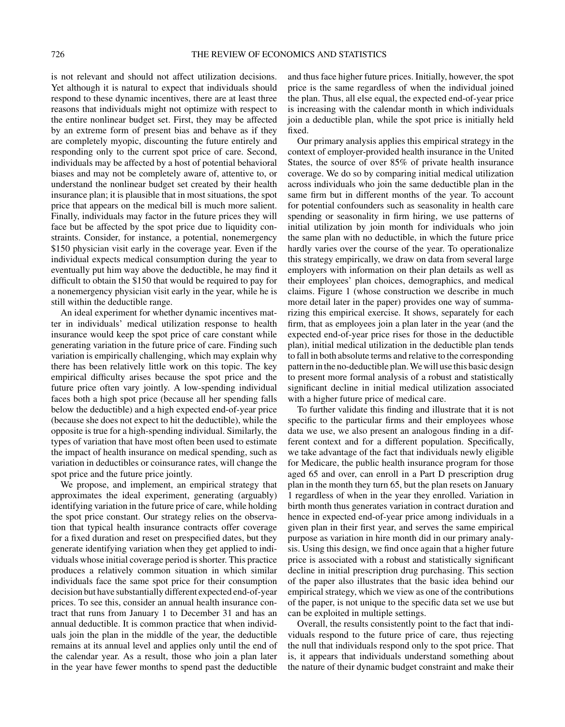is not relevant and should not affect utilization decisions. Yet although it is natural to expect that individuals should respond to these dynamic incentives, there are at least three reasons that individuals might not optimize with respect to the entire nonlinear budget set. First, they may be affected by an extreme form of present bias and behave as if they are completely myopic, discounting the future entirely and responding only to the current spot price of care. Second, individuals may be affected by a host of potential behavioral biases and may not be completely aware of, attentive to, or understand the nonlinear budget set created by their health insurance plan; it is plausible that in most situations, the spot price that appears on the medical bill is much more salient. Finally, individuals may factor in the future prices they will face but be affected by the spot price due to liquidity constraints. Consider, for instance, a potential, nonemergency \$150 physician visit early in the coverage year. Even if the individual expects medical consumption during the year to eventually put him way above the deductible, he may find it difficult to obtain the \$150 that would be required to pay for a nonemergency physician visit early in the year, while he is still within the deductible range.

An ideal experiment for whether dynamic incentives matter in individuals' medical utilization response to health insurance would keep the spot price of care constant while generating variation in the future price of care. Finding such variation is empirically challenging, which may explain why there has been relatively little work on this topic. The key empirical difficulty arises because the spot price and the future price often vary jointly. A low-spending individual faces both a high spot price (because all her spending falls below the deductible) and a high expected end-of-year price (because she does not expect to hit the deductible), while the opposite is true for a high-spending individual. Similarly, the types of variation that have most often been used to estimate the impact of health insurance on medical spending, such as variation in deductibles or coinsurance rates, will change the spot price and the future price jointly.

We propose, and implement, an empirical strategy that approximates the ideal experiment, generating (arguably) identifying variation in the future price of care, while holding the spot price constant. Our strategy relies on the observation that typical health insurance contracts offer coverage for a fixed duration and reset on prespecified dates, but they generate identifying variation when they get applied to individuals whose initial coverage period is shorter. This practice produces a relatively common situation in which similar individuals face the same spot price for their consumption decision but have substantially different expected end-of-year prices. To see this, consider an annual health insurance contract that runs from January 1 to December 31 and has an annual deductible. It is common practice that when individuals join the plan in the middle of the year, the deductible remains at its annual level and applies only until the end of the calendar year. As a result, those who join a plan later in the year have fewer months to spend past the deductible

and thus face higher future prices. Initially, however, the spot price is the same regardless of when the individual joined the plan. Thus, all else equal, the expected end-of-year price is increasing with the calendar month in which individuals join a deductible plan, while the spot price is initially held fixed.

Our primary analysis applies this empirical strategy in the context of employer-provided health insurance in the United States, the source of over 85% of private health insurance coverage. We do so by comparing initial medical utilization across individuals who join the same deductible plan in the same firm but in different months of the year. To account for potential confounders such as seasonality in health care spending or seasonality in firm hiring, we use patterns of initial utilization by join month for individuals who join the same plan with no deductible, in which the future price hardly varies over the course of the year. To operationalize this strategy empirically, we draw on data from several large employers with information on their plan details as well as their employees' plan choices, demographics, and medical claims. Figure 1 (whose construction we describe in much more detail later in the paper) provides one way of summarizing this empirical exercise. It shows, separately for each firm, that as employees join a plan later in the year (and the expected end-of-year price rises for those in the deductible plan), initial medical utilization in the deductible plan tends to fall in both absolute terms and relative to the corresponding pattern in the no-deductible plan. We will use this basic design to present more formal analysis of a robust and statistically significant decline in initial medical utilization associated with a higher future price of medical care.

To further validate this finding and illustrate that it is not specific to the particular firms and their employees whose data we use, we also present an analogous finding in a different context and for a different population. Specifically, we take advantage of the fact that individuals newly eligible for Medicare, the public health insurance program for those aged 65 and over, can enroll in a Part D prescription drug plan in the month they turn 65, but the plan resets on January 1 regardless of when in the year they enrolled. Variation in birth month thus generates variation in contract duration and hence in expected end-of-year price among individuals in a given plan in their first year, and serves the same empirical purpose as variation in hire month did in our primary analysis. Using this design, we find once again that a higher future price is associated with a robust and statistically significant decline in initial prescription drug purchasing. This section of the paper also illustrates that the basic idea behind our empirical strategy, which we view as one of the contributions of the paper, is not unique to the specific data set we use but can be exploited in multiple settings.

Overall, the results consistently point to the fact that individuals respond to the future price of care, thus rejecting the null that individuals respond only to the spot price. That is, it appears that individuals understand something about the nature of their dynamic budget constraint and make their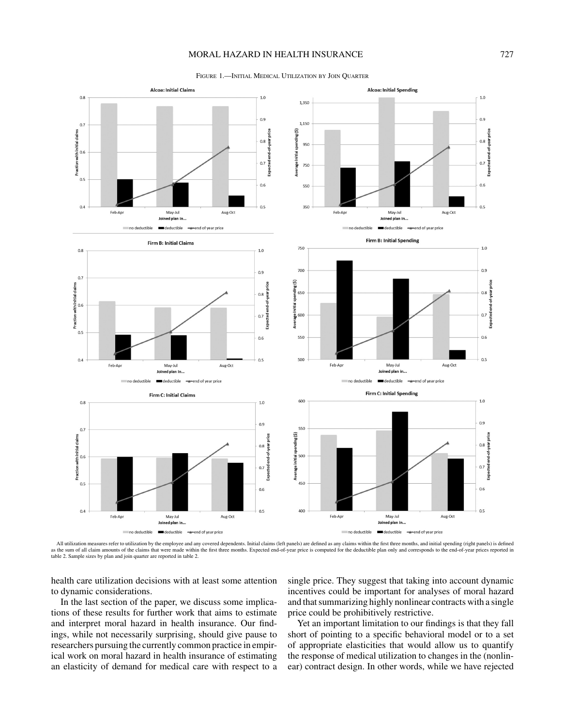# MORAL HAZARD IN HEALTH INSURANCE 727

Figure 1.—Initial Medical Utilization by Join Quarter



All utilization measures refer to utilization by the employee and any covered dependents. Initial claims (left panels) are defined as any claims within the first three months, and initial spending (right panels) is defined table 2. Sample sizes by plan and join quarter are reported in table 2.

health care utilization decisions with at least some attention to dynamic considerations.

In the last section of the paper, we discuss some implications of these results for further work that aims to estimate and interpret moral hazard in health insurance. Our findings, while not necessarily surprising, should give pause to researchers pursuing the currently common practice in empirical work on moral hazard in health insurance of estimating an elasticity of demand for medical care with respect to a single price. They suggest that taking into account dynamic incentives could be important for analyses of moral hazard and that summarizing highly nonlinear contracts with a single price could be prohibitively restrictive.

Yet an important limitation to our findings is that they fall short of pointing to a specific behavioral model or to a set of appropriate elasticities that would allow us to quantify the response of medical utilization to changes in the (nonlinear) contract design. In other words, while we have rejected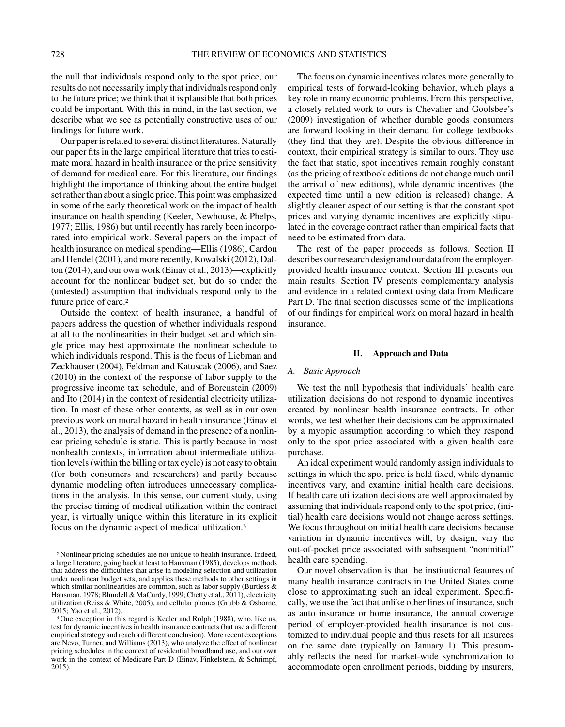the null that individuals respond only to the spot price, our results do not necessarily imply that individuals respond only to the future price; we think that it is plausible that both prices could be important. With this in mind, in the last section, we describe what we see as potentially constructive uses of our findings for future work.

Our paper is related to several distinct literatures. Naturally our paper fits in the large empirical literature that tries to estimate moral hazard in health insurance or the price sensitivity of demand for medical care. For this literature, our findings highlight the importance of thinking about the entire budget set rather than about a single price. This point was emphasized in some of the early theoretical work on the impact of health insurance on health spending (Keeler, Newhouse, & Phelps, 1977; Ellis, 1986) but until recently has rarely been incorporated into empirical work. Several papers on the impact of health insurance on medical spending—Ellis (1986), Cardon and Hendel (2001), and more recently, Kowalski (2012), Dalton (2014), and our own work (Einav et al., 2013)—explicitly account for the nonlinear budget set, but do so under the (untested) assumption that individuals respond only to the future price of care.2

Outside the context of health insurance, a handful of papers address the question of whether individuals respond at all to the nonlinearities in their budget set and which single price may best approximate the nonlinear schedule to which individuals respond. This is the focus of Liebman and Zeckhauser (2004), Feldman and Katuscak (2006), and Saez (2010) in the context of the response of labor supply to the progressive income tax schedule, and of Borenstein (2009) and Ito (2014) in the context of residential electricity utilization. In most of these other contexts, as well as in our own previous work on moral hazard in health insurance (Einav et al., 2013), the analysis of demand in the presence of a nonlinear pricing schedule is static. This is partly because in most nonhealth contexts, information about intermediate utilization levels (within the billing or tax cycle) is not easy to obtain (for both consumers and researchers) and partly because dynamic modeling often introduces unnecessary complications in the analysis. In this sense, our current study, using the precise timing of medical utilization within the contract year, is virtually unique within this literature in its explicit focus on the dynamic aspect of medical utilization.3

The focus on dynamic incentives relates more generally to empirical tests of forward-looking behavior, which plays a key role in many economic problems. From this perspective, a closely related work to ours is Chevalier and Goolsbee's (2009) investigation of whether durable goods consumers are forward looking in their demand for college textbooks (they find that they are). Despite the obvious difference in context, their empirical strategy is similar to ours. They use the fact that static, spot incentives remain roughly constant (as the pricing of textbook editions do not change much until the arrival of new editions), while dynamic incentives (the expected time until a new edition is released) change. A slightly cleaner aspect of our setting is that the constant spot prices and varying dynamic incentives are explicitly stipulated in the coverage contract rather than empirical facts that need to be estimated from data.

The rest of the paper proceeds as follows. Section II describes our research design and our data from the employerprovided health insurance context. Section III presents our main results. Section IV presents complementary analysis and evidence in a related context using data from Medicare Part D. The final section discusses some of the implications of our findings for empirical work on moral hazard in health insurance.

#### **II. Approach and Data**

## *A. Basic Approach*

We test the null hypothesis that individuals' health care utilization decisions do not respond to dynamic incentives created by nonlinear health insurance contracts. In other words, we test whether their decisions can be approximated by a myopic assumption according to which they respond only to the spot price associated with a given health care purchase.

An ideal experiment would randomly assign individuals to settings in which the spot price is held fixed, while dynamic incentives vary, and examine initial health care decisions. If health care utilization decisions are well approximated by assuming that individuals respond only to the spot price, (initial) health care decisions would not change across settings. We focus throughout on initial health care decisions because variation in dynamic incentives will, by design, vary the out-of-pocket price associated with subsequent "noninitial" health care spending.

Our novel observation is that the institutional features of many health insurance contracts in the United States come close to approximating such an ideal experiment. Specifically, we use the fact that unlike other lines of insurance, such as auto insurance or home insurance, the annual coverage period of employer-provided health insurance is not customized to individual people and thus resets for all insurees on the same date (typically on January 1). This presumably reflects the need for market-wide synchronization to accommodate open enrollment periods, bidding by insurers,

<sup>2</sup> Nonlinear pricing schedules are not unique to health insurance. Indeed, a large literature, going back at least to Hausman (1985), develops methods that address the difficulties that arise in modeling selection and utilization under nonlinear budget sets, and applies these methods to other settings in which similar nonlinearities are common, such as labor supply (Burtless  $\&$ Hausman, 1978; Blundell & MaCurdy, 1999; Chetty et al., 2011), electricity utilization (Reiss & White, 2005), and cellular phones (Grubb & Osborne, 2015; Yao et al., 2012).

<sup>3</sup> One exception in this regard is Keeler and Rolph (1988), who, like us, test for dynamic incentives in health insurance contracts (but use a different empirical strategy and reach a different conclusion). More recent exceptions are Nevo, Turner, and Williams (2013), who analyze the effect of nonlinear pricing schedules in the context of residential broadband use, and our own work in the context of Medicare Part D (Einav, Finkelstein, & Schrimpf, 2015).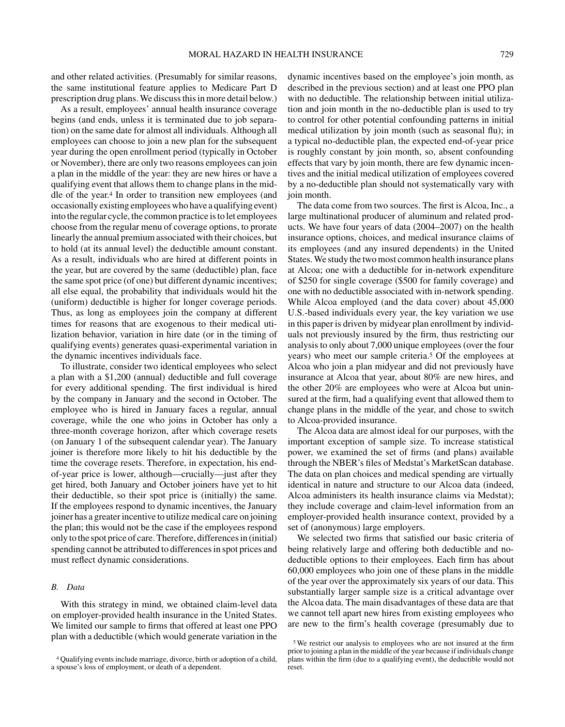and other related activities. (Presumably for similar reasons, the same institutional feature applies to Medicare Part D prescription drug plans. We discuss this in more detail below.)

As a result, employees' annual health insurance coverage begins (and ends, unless it is terminated due to job separation) on the same date for almost all individuals. Although all employees can choose to join a new plan for the subsequent year during the open enrollment period (typically in October or November), there are only two reasons employees can join a plan in the middle of the year: they are new hires or have a qualifying event that allows them to change plans in the middle of the year.4 In order to transition new employees (and occasionally existing employees who have a qualifying event) into the regular cycle, the common practice is to let employees choose from the regular menu of coverage options, to prorate linearly the annual premium associated with their choices, but to hold (at its annual level) the deductible amount constant. As a result, individuals who are hired at different points in the year, but are covered by the same (deductible) plan, face the same spot price (of one) but different dynamic incentives; all else equal, the probability that individuals would hit the (uniform) deductible is higher for longer coverage periods. Thus, as long as employees join the company at different times for reasons that are exogenous to their medical utilization behavior, variation in hire date (or in the timing of qualifying events) generates quasi-experimental variation in the dynamic incentives individuals face.

To illustrate, consider two identical employees who select a plan with a \$1,200 (annual) deductible and full coverage for every additional spending. The first individual is hired by the company in January and the second in October. The employee who is hired in January faces a regular, annual coverage, while the one who joins in October has only a three-month coverage horizon, after which coverage resets (on January 1 of the subsequent calendar year). The January joiner is therefore more likely to hit his deductible by the time the coverage resets. Therefore, in expectation, his endof-year price is lower, although—crucially—just after they get hired, both January and October joiners have yet to hit their deductible, so their spot price is (initially) the same. If the employees respond to dynamic incentives, the January joiner has a greater incentive to utilize medical care on joining the plan; this would not be the case if the employees respond only to the spot price of care. Therefore, differences in (initial) spending cannot be attributed to differences in spot prices and must reflect dynamic considerations.

# *B. Data*

With this strategy in mind, we obtained claim-level data on employer-provided health insurance in the United States. We limited our sample to firms that offered at least one PPO plan with a deductible (which would generate variation in the

dynamic incentives based on the employee's join month, as described in the previous section) and at least one PPO plan with no deductible. The relationship between initial utilization and join month in the no-deductible plan is used to try to control for other potential confounding patterns in initial medical utilization by join month (such as seasonal flu); in a typical no-deductible plan, the expected end-of-year price is roughly constant by join month, so, absent confounding effects that vary by join month, there are few dynamic incentives and the initial medical utilization of employees covered by a no-deductible plan should not systematically vary with join month.

The data come from two sources. The first is Alcoa, Inc., a large multinational producer of aluminum and related products. We have four years of data (2004–2007) on the health insurance options, choices, and medical insurance claims of its employees (and any insured dependents) in the United States. We study the two most common health insurance plans at Alcoa; one with a deductible for in-network expenditure of \$250 for single coverage (\$500 for family coverage) and one with no deductible associated with in-network spending. While Alcoa employed (and the data cover) about 45,000 U.S.-based individuals every year, the key variation we use in this paper is driven by midyear plan enrollment by individuals not previously insured by the firm, thus restricting our analysis to only about 7,000 unique employees (over the four years) who meet our sample criteria.5 Of the employees at Alcoa who join a plan midyear and did not previously have insurance at Alcoa that year, about 80% are new hires, and the other 20% are employees who were at Alcoa but uninsured at the firm, had a qualifying event that allowed them to change plans in the middle of the year, and chose to switch to Alcoa-provided insurance.

The Alcoa data are almost ideal for our purposes, with the important exception of sample size. To increase statistical power, we examined the set of firms (and plans) available through the NBER's files of Medstat's MarketScan database. The data on plan choices and medical spending are virtually identical in nature and structure to our Alcoa data (indeed, Alcoa administers its health insurance claims via Medstat); they include coverage and claim-level information from an employer-provided health insurance context, provided by a set of (anonymous) large employers.

We selected two firms that satisfied our basic criteria of being relatively large and offering both deductible and nodeductible options to their employees. Each firm has about 60,000 employees who join one of these plans in the middle of the year over the approximately six years of our data. This substantially larger sample size is a critical advantage over the Alcoa data. The main disadvantages of these data are that we cannot tell apart new hires from existing employees who are new to the firm's health coverage (presumably due to

<sup>4</sup> Qualifying events include marriage, divorce, birth or adoption of a child, a spouse's loss of employment, or death of a dependent.

<sup>5</sup> We restrict our analysis to employees who are not insured at the firm prior to joining a plan in the middle of the year because if individuals change plans within the firm (due to a qualifying event), the deductible would not reset.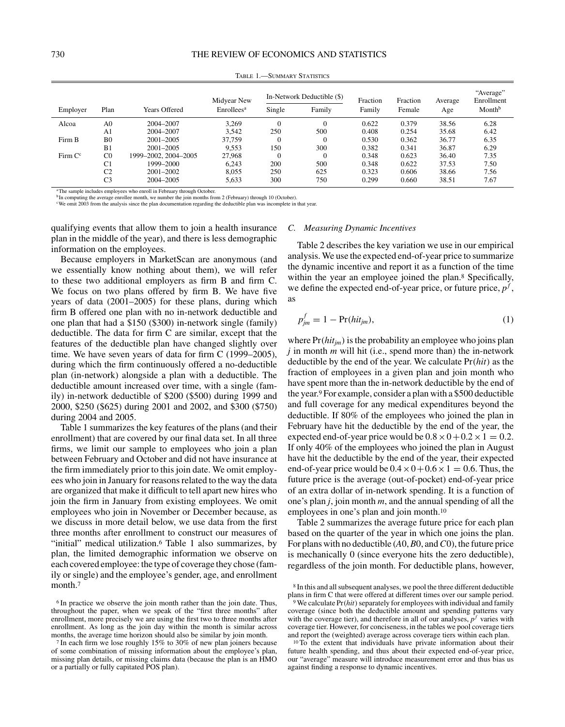Table 1.—Summary Statistics

|                     |                |                      | Midyear New            | In-Network Deductible (\$) |          | Fraction | Fraction | Average | "Average"<br>Enrollment |  |
|---------------------|----------------|----------------------|------------------------|----------------------------|----------|----------|----------|---------|-------------------------|--|
| Employer            | Plan           | <b>Years Offered</b> | Enrollees <sup>a</sup> | Single                     | Family   | Family   | Female   | Age     | Month <sup>b</sup>      |  |
| Alcoa               | A <sub>0</sub> | 2004-2007            | 3.269                  | $\Omega$                   | $\Omega$ | 0.622    | 0.379    | 38.56   | 6.28                    |  |
|                     | A1             | 2004-2007            | 3.542                  | 250                        | 500      | 0.408    | 0.254    | 35.68   | 6.42                    |  |
| Firm B              | B <sub>0</sub> | $2001 - 2005$        | 37,759                 | $\Omega$                   | $\Omega$ | 0.530    | 0.362    | 36.77   | 6.35                    |  |
|                     | B <sub>1</sub> | $2001 - 2005$        | 9.553                  | 150                        | 300      | 0.382    | 0.341    | 36.87   | 6.29                    |  |
| Firm C <sup>c</sup> | C <sub>0</sub> | 1999–2002, 2004–2005 | 27,968                 | $\Omega$                   | $\Omega$ | 0.348    | 0.623    | 36.40   | 7.35                    |  |
|                     | C <sub>1</sub> | 1999-2000            | 6.243                  | 200                        | 500      | 0.348    | 0.622    | 37.53   | 7.50                    |  |
|                     | C <sub>2</sub> | $2001 - 2002$        | 8.055                  | 250                        | 625      | 0.323    | 0.606    | 38.66   | 7.56                    |  |
|                     | C <sub>3</sub> | 2004-2005            | 5,633                  | 300                        | 750      | 0.299    | 0.660    | 38.51   | 7.67                    |  |

<sup>a</sup>The sample includes employees who enroll in February through October. <sup>b</sup>In computing the average enrollee month, we number the join months from 2 (February) through 10 (October).

cWe omit 2003 from the analysis since the plan documentation regarding the deductible plan was incomplete in that year.

qualifying events that allow them to join a health insurance plan in the middle of the year), and there is less demographic information on the employees.

Because employers in MarketScan are anonymous (and we essentially know nothing about them), we will refer to these two additional employers as firm B and firm C. We focus on two plans offered by firm B. We have five years of data (2001–2005) for these plans, during which firm B offered one plan with no in-network deductible and one plan that had a \$150 (\$300) in-network single (family) deductible. The data for firm C are similar, except that the features of the deductible plan have changed slightly over time. We have seven years of data for firm C (1999–2005), during which the firm continuously offered a no-deductible plan (in-network) alongside a plan with a deductible. The deductible amount increased over time, with a single (family) in-network deductible of \$200 (\$500) during 1999 and 2000, \$250 (\$625) during 2001 and 2002, and \$300 (\$750) during 2004 and 2005.

Table 1 summarizes the key features of the plans (and their enrollment) that are covered by our final data set. In all three firms, we limit our sample to employees who join a plan between February and October and did not have insurance at the firm immediately prior to this join date. We omit employees who join in January for reasons related to the way the data are organized that make it difficult to tell apart new hires who join the firm in January from existing employees. We omit employees who join in November or December because, as we discuss in more detail below, we use data from the first three months after enrollment to construct our measures of "initial" medical utilization.<sup>6</sup> Table 1 also summarizes, by plan, the limited demographic information we observe on each covered employee: the type of coverage they chose (family or single) and the employee's gender, age, and enrollment month.<sup>7</sup>

## *C. Measuring Dynamic Incentives*

Table 2 describes the key variation we use in our empirical analysis. We use the expected end-of-year price to summarize the dynamic incentive and report it as a function of the time within the year an employee joined the plan.<sup>8</sup> Specifically, we define the expected end-of-year price, or future price, *p<sup>f</sup>* , as

$$
p_{jm}^f = 1 - \Pr(hit_{jm}),\tag{1}
$$

where  $Pr(hit_{im})$  is the probability an employee who joins plan *j* in month *m* will hit (i.e., spend more than) the in-network deductible by the end of the year. We calculate Pr*(hit)* as the fraction of employees in a given plan and join month who have spent more than the in-network deductible by the end of the year.9 For example, consider a plan with a \$500 deductible and full coverage for any medical expenditures beyond the deductible. If 80% of the employees who joined the plan in February have hit the deductible by the end of the year, the expected end-of-year price would be  $0.8 \times 0 + 0.2 \times 1 = 0.2$ . If only 40% of the employees who joined the plan in August have hit the deductible by the end of the year, their expected end-of-year price would be  $0.4 \times 0 + 0.6 \times 1 = 0.6$ . Thus, the future price is the average (out-of-pocket) end-of-year price of an extra dollar of in-network spending. It is a function of one's plan *j*, join month *m*, and the annual spending of all the employees in one's plan and join month.<sup>10</sup>

Table 2 summarizes the average future price for each plan based on the quarter of the year in which one joins the plan. For plans with no deductible (*A*0,*B*0, and*C*0), the future price is mechanically 0 (since everyone hits the zero deductible), regardless of the join month. For deductible plans, however,

<sup>6</sup> In practice we observe the join month rather than the join date. Thus, throughout the paper, when we speak of the "first three months" after enrollment, more precisely we are using the first two to three months after enrollment. As long as the join day within the month is similar across months, the average time horizon should also be similar by join month.

<sup>7</sup> In each firm we lose roughly 15% to 30% of new plan joiners because of some combination of missing information about the employee's plan, missing plan details, or missing claims data (because the plan is an HMO or a partially or fully capitated POS plan).

<sup>8</sup> In this and all subsequent analyses, we pool the three different deductible plans in firm C that were offered at different times over our sample period.

<sup>9</sup> We calculate Pr*(hit)*separately for employees with individual and family coverage (since both the deductible amount and spending patterns vary with the coverage tier), and therefore in all of our analyses,  $p<sup>f</sup>$  varies with coverage tier. However, for conciseness, in the tables we pool coverage tiers and report the (weighted) average across coverage tiers within each plan.

<sup>&</sup>lt;sup>10</sup> To the extent that individuals have private information about their future health spending, and thus about their expected end-of-year price, our "average" measure will introduce measurement error and thus bias us against finding a response to dynamic incentives.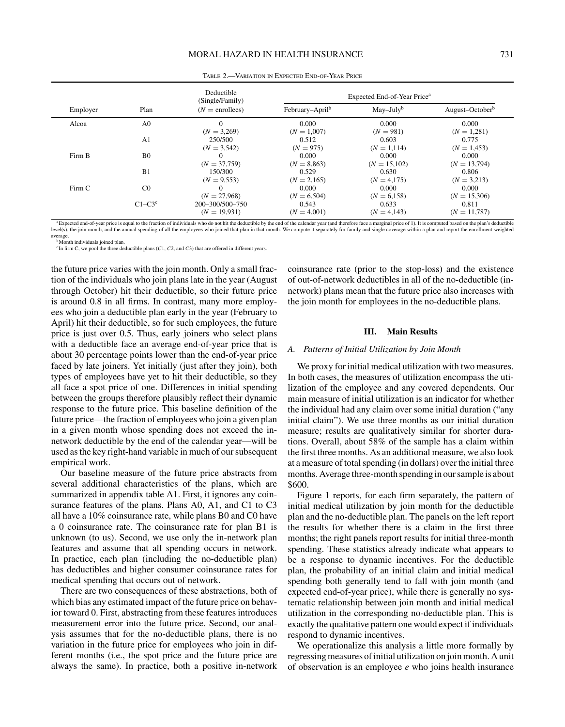|          |                | Deductible<br>(Single/Family)     |                             | Expected End-of-Year Price <sup>a</sup> |                             |
|----------|----------------|-----------------------------------|-----------------------------|-----------------------------------------|-----------------------------|
| Employer | Plan           | $(N =$ enrollees)                 | February-April <sup>b</sup> | $May-Julyb$                             | August-October <sup>b</sup> |
| Alcoa    | A <sub>0</sub> | $(N = 3,269)$                     | 0.000<br>$(N = 1,007)$      | 0.000<br>$(N = 981)$                    | 0.000<br>$(N = 1,281)$      |
|          | A <sub>1</sub> | 250/500<br>$(N = 3,542)$          | 0.512<br>$(N = 975)$        | 0.603<br>$(N = 1,114)$                  | 0.775<br>$(N = 1.453)$      |
| Firm B   | B <sub>0</sub> | $(N = 37,759)$                    | 0.000<br>$(N = 8,863)$      | 0.000<br>$(N = 15,102)$                 | 0.000<br>$(N = 13,794)$     |
|          | B1             | 150/300<br>$(N = 9.553)$          | 0.529<br>$(N = 2,165)$      | 0.630<br>$(N = 4,175)$                  | 0.806<br>$(N = 3,213)$      |
| Firm C   | C <sub>0</sub> | $(N = 27,968)$                    | 0.000<br>$(N = 6,504)$      | 0.000<br>$(N = 6,158)$                  | 0.000<br>$(N = 15,306)$     |
|          | $C1-C3c$       | 200-300/500-750<br>$(N = 19,931)$ | 0.543<br>$(N = 4.001)$      | 0.633<br>$(N = 4.143)$                  | 0.811<br>$(N = 11,787)$     |

Table 2.—Variation in Expected End-of-Year Price

<sup>a</sup>Expected end-of-year price is equal to the fraction of individuals who do not hit the deductible by the end of the calendar year (and therefore face a marginal price of 1). It is computed based on the plan's deductible lual spending of all the employees who joined that plan in that month. We compute it separately for family and single coverage within a plan and report the enrollment-weighted average.

<sup>b</sup>Month individuals joined plan.

<sup>c</sup>In firm C, we pool the three deductible plans (*C*1, *C*2, and *C*3) that are offered in different years.

the future price varies with the join month. Only a small fraction of the individuals who join plans late in the year (August through October) hit their deductible, so their future price is around 0.8 in all firms. In contrast, many more employees who join a deductible plan early in the year (February to April) hit their deductible, so for such employees, the future price is just over 0.5. Thus, early joiners who select plans with a deductible face an average end-of-year price that is about 30 percentage points lower than the end-of-year price faced by late joiners. Yet initially (just after they join), both types of employees have yet to hit their deductible, so they all face a spot price of one. Differences in initial spending between the groups therefore plausibly reflect their dynamic response to the future price. This baseline definition of the future price—the fraction of employees who join a given plan in a given month whose spending does not exceed the innetwork deductible by the end of the calendar year—will be used as the key right-hand variable in much of our subsequent empirical work.

Our baseline measure of the future price abstracts from several additional characteristics of the plans, which are summarized in appendix table A1. First, it ignores any coinsurance features of the plans. Plans A0, A1, and C1 to C3 all have a 10% coinsurance rate, while plans B0 and C0 have a 0 coinsurance rate. The coinsurance rate for plan B1 is unknown (to us). Second, we use only the in-network plan features and assume that all spending occurs in network. In practice, each plan (including the no-deductible plan) has deductibles and higher consumer coinsurance rates for medical spending that occurs out of network.

There are two consequences of these abstractions, both of which bias any estimated impact of the future price on behavior toward 0. First, abstracting from these features introduces measurement error into the future price. Second, our analysis assumes that for the no-deductible plans, there is no variation in the future price for employees who join in different months (i.e., the spot price and the future price are always the same). In practice, both a positive in-network

coinsurance rate (prior to the stop-loss) and the existence of out-of-network deductibles in all of the no-deductible (innetwork) plans mean that the future price also increases with the join month for employees in the no-deductible plans.

## **III. Main Results**

## *A. Patterns of Initial Utilization by Join Month*

We proxy for initial medical utilization with two measures. In both cases, the measures of utilization encompass the utilization of the employee and any covered dependents. Our main measure of initial utilization is an indicator for whether the individual had any claim over some initial duration ("any initial claim"). We use three months as our initial duration measure; results are qualitatively similar for shorter durations. Overall, about 58% of the sample has a claim within the first three months. As an additional measure, we also look at a measure of total spending (in dollars) over the initial three months. Average three-month spending in our sample is about \$600.

Figure 1 reports, for each firm separately, the pattern of initial medical utilization by join month for the deductible plan and the no-deductible plan. The panels on the left report the results for whether there is a claim in the first three months; the right panels report results for initial three-month spending. These statistics already indicate what appears to be a response to dynamic incentives. For the deductible plan, the probability of an initial claim and initial medical spending both generally tend to fall with join month (and expected end-of-year price), while there is generally no systematic relationship between join month and initial medical utilization in the corresponding no-deductible plan. This is exactly the qualitative pattern one would expect if individuals respond to dynamic incentives.

We operationalize this analysis a little more formally by regressing measures of initial utilization on join month. A unit of observation is an employee *e* who joins health insurance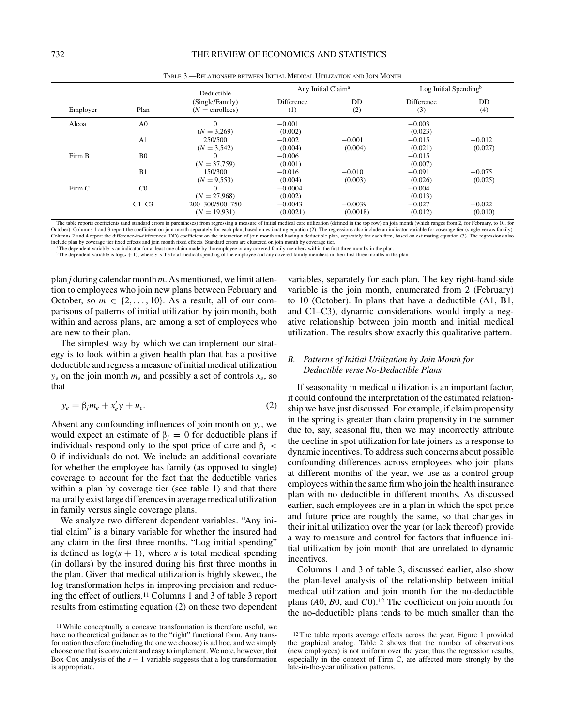|          |                | Deductible                           | Any Initial Claim <sup>a</sup> |           | Log Initial Spending $b$ |           |
|----------|----------------|--------------------------------------|--------------------------------|-----------|--------------------------|-----------|
| Employer | Plan           | (Single/Family)<br>$(N =$ enrollees) | <b>Difference</b><br>(1)       | DD<br>(2) | <b>Difference</b><br>(3) | DD<br>(4) |
| Alcoa    | A <sub>0</sub> | $\theta$                             | $-0.001$                       |           | $-0.003$                 |           |
|          |                | $(N = 3,269)$                        | (0.002)                        |           | (0.023)                  |           |
|          | A <sub>1</sub> | 250/500                              | $-0.002$                       | $-0.001$  | $-0.015$                 | $-0.012$  |
|          |                | $(N = 3,542)$                        | (0.004)                        | (0.004)   | (0.021)                  | (0.027)   |
| Firm B   | B <sub>0</sub> | $\Omega$                             | $-0.006$                       |           | $-0.015$                 |           |
|          |                | $(N = 37,759)$                       | (0.001)                        |           | (0.007)                  |           |
|          | B1             | 150/300                              | $-0.016$                       | $-0.010$  | $-0.091$                 | $-0.075$  |
|          |                | $(N = 9,553)$                        | (0.004)                        | (0.003)   | (0.026)                  | (0.025)   |
| Firm C   | C <sub>0</sub> | $\Omega$                             | $-0.0004$                      |           | $-0.004$                 |           |
|          |                | $(N = 27.968)$                       | (0.002)                        |           | (0.013)                  |           |
|          | $C1-C3$        | 200-300/500-750                      | $-0.0043$                      | $-0.0039$ | $-0.027$                 | $-0.022$  |
|          |                | $(N = 19.931)$                       | (0.0021)                       | (0.0018)  | (0.012)                  | (0.010)   |

Table 3.—Relationship between Initial Medical Utilization and Join Month

The table reports coefficients (and standard errors in parentheses) from regressing a measure of initial medical care utilization (defined in the top row) on join month (which ranges from 2, for February, to 10, for October). Columns 1 and 3 report the coefficient on join month separately for each plan, based on estimating equation (2). The regressions also include an indicator variable for coverage tier (single versus family).<br>Column include plan by coverage tier fixed effects and join month fixed effects. Standard errors are clustered on join month by coverage tier.

aThe dependent variable is an indicator for at least one claim made by the employee or any covered family members within the first three months in the plan.

 $b$ The dependent variable is  $log(s + 1)$ , where *s* is the total medical spending of the employee and any covered family members in their first three months in the plan.

plan *j* during calendar month *m*. As mentioned, we limit attention to employees who join new plans between February and October, so  $m \in \{2, \ldots, 10\}$ . As a result, all of our comparisons of patterns of initial utilization by join month, both within and across plans, are among a set of employees who are new to their plan.

The simplest way by which we can implement our strategy is to look within a given health plan that has a positive deductible and regress a measure of initial medical utilization  $y_e$  on the join month  $m_e$  and possibly a set of controls  $x_e$ , so that

$$
y_e = \beta_j m_e + x'_e \gamma + u_e. \tag{2}
$$

Absent any confounding influences of join month on *ye*, we would expect an estimate of  $\beta$ <sub>*j*</sub> = 0 for deductible plans if individuals respond only to the spot price of care and β*<sup>j</sup> <* 0 if individuals do not. We include an additional covariate for whether the employee has family (as opposed to single) coverage to account for the fact that the deductible varies within a plan by coverage tier (see table 1) and that there naturally exist large differences in average medical utilization in family versus single coverage plans.

We analyze two different dependent variables. "Any initial claim" is a binary variable for whether the insured had any claim in the first three months. "Log initial spending" is defined as  $log(s + 1)$ , where *s* is total medical spending (in dollars) by the insured during his first three months in the plan. Given that medical utilization is highly skewed, the log transformation helps in improving precision and reducing the effect of outliers.11 Columns 1 and 3 of table 3 report results from estimating equation (2) on these two dependent variables, separately for each plan. The key right-hand-side variable is the join month, enumerated from 2 (February) to 10 (October). In plans that have a deductible (A1, B1, and C1–C3), dynamic considerations would imply a negative relationship between join month and initial medical utilization. The results show exactly this qualitative pattern.

# *B. Patterns of Initial Utilization by Join Month for Deductible verse No-Deductible Plans*

If seasonality in medical utilization is an important factor, it could confound the interpretation of the estimated relationship we have just discussed. For example, if claim propensity in the spring is greater than claim propensity in the summer due to, say, seasonal flu, then we may incorrectly attribute the decline in spot utilization for late joiners as a response to dynamic incentives. To address such concerns about possible confounding differences across employees who join plans at different months of the year, we use as a control group employees within the same firm who join the health insurance plan with no deductible in different months. As discussed earlier, such employees are in a plan in which the spot price and future price are roughly the same, so that changes in their initial utilization over the year (or lack thereof) provide a way to measure and control for factors that influence initial utilization by join month that are unrelated to dynamic incentives.

Columns 1 and 3 of table 3, discussed earlier, also show the plan-level analysis of the relationship between initial medical utilization and join month for the no-deductible plans (*A*0, *B*0, and *C*0).12 The coefficient on join month for the no-deductible plans tends to be much smaller than the

<sup>11</sup> While conceptually a concave transformation is therefore useful, we have no theoretical guidance as to the "right" functional form. Any transformation therefore (including the one we choose) is ad hoc, and we simply choose one that is convenient and easy to implement. We note, however, that Box-Cox analysis of the  $s + 1$  variable suggests that a log transformation is appropriate.

<sup>&</sup>lt;sup>12</sup> The table reports average effects across the year. Figure 1 provided the graphical analog. Table 2 shows that the number of observations (new employees) is not uniform over the year; thus the regression results, especially in the context of Firm C, are affected more strongly by the late-in-the-year utilization patterns.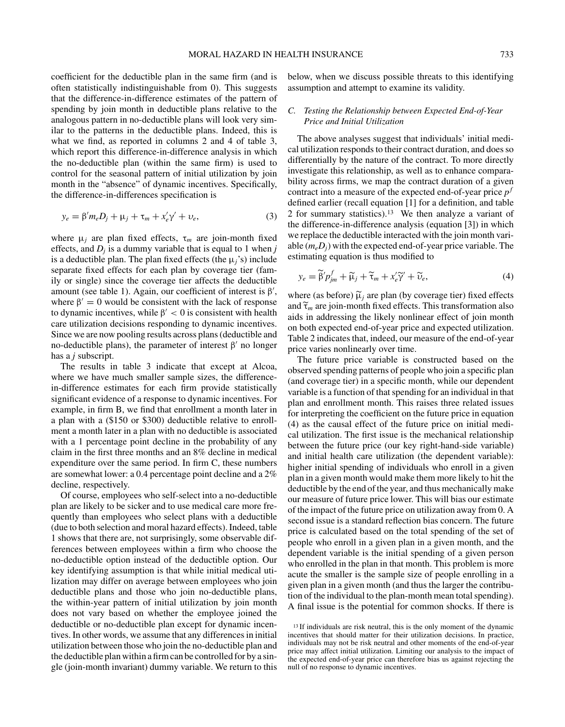coefficient for the deductible plan in the same firm (and is often statistically indistinguishable from 0). This suggests that the difference-in-difference estimates of the pattern of spending by join month in deductible plans relative to the analogous pattern in no-deductible plans will look very similar to the patterns in the deductible plans. Indeed, this is what we find, as reported in columns 2 and 4 of table 3, which report this difference-in-difference analysis in which the no-deductible plan (within the same firm) is used to control for the seasonal pattern of initial utilization by join month in the "absence" of dynamic incentives. Specifically, the difference-in-differences specification is

$$
y_e = \beta' m_e D_j + \mu_j + \tau_m + x'_e \gamma' + \nu_e,
$$
\n(3)

where  $\mu_j$  are plan fixed effects,  $\tau_m$  are join-month fixed effects, and  $D_i$  is a dummy variable that is equal to 1 when  $j$ is a deductible plan. The plan fixed effects (the  $\mu$ <sup>'</sup>s) include separate fixed effects for each plan by coverage tier (family or single) since the coverage tier affects the deductible amount (see table 1). Again, our coefficient of interest is  $\beta'$ , where  $\beta' = 0$  would be consistent with the lack of response to dynamic incentives, while  $\beta' < 0$  is consistent with health care utilization decisions responding to dynamic incentives. Since we are now pooling results across plans (deductible and no-deductible plans), the parameter of interest  $β'$  no longer has a *j* subscript.

The results in table 3 indicate that except at Alcoa, where we have much smaller sample sizes, the differencein-difference estimates for each firm provide statistically significant evidence of a response to dynamic incentives. For example, in firm B, we find that enrollment a month later in a plan with a (\$150 or \$300) deductible relative to enrollment a month later in a plan with no deductible is associated with a 1 percentage point decline in the probability of any claim in the first three months and an 8% decline in medical expenditure over the same period. In firm C, these numbers are somewhat lower: a 0.4 percentage point decline and a 2% decline, respectively.

Of course, employees who self-select into a no-deductible plan are likely to be sicker and to use medical care more frequently than employees who select plans with a deductible (due to both selection and moral hazard effects). Indeed, table 1 shows that there are, not surprisingly, some observable differences between employees within a firm who choose the no-deductible option instead of the deductible option. Our key identifying assumption is that while initial medical utilization may differ on average between employees who join deductible plans and those who join no-deductible plans, the within-year pattern of initial utilization by join month does not vary based on whether the employee joined the deductible or no-deductible plan except for dynamic incentives. In other words, we assume that any differences in initial utilization between those who join the no-deductible plan and the deductible plan within a firm can be controlled for by a single (join-month invariant) dummy variable. We return to this below, when we discuss possible threats to this identifying assumption and attempt to examine its validity.

## *C. Testing the Relationship between Expected End-of-Year Price and Initial Utilization*

The above analyses suggest that individuals' initial medical utilization responds to their contract duration, and does so differentially by the nature of the contract. To more directly investigate this relationship, as well as to enhance comparability across firms, we map the contract duration of a given contract into a measure of the expected end-of-year price *p<sup>f</sup>* defined earlier (recall equation [1] for a definition, and table 2 for summary statistics).13 We then analyze a variant of the difference-in-difference analysis (equation [3]) in which we replace the deductible interacted with the join month variable (*meDj*) with the expected end-of-year price variable. The estimating equation is thus modified to *ye* =  $\widetilde{B}'p_{jm}^{f} + \widetilde{\mu}_{j} + \widetilde{\tau}_{m} + x_{e}^{\prime}\widetilde{\gamma}' + \widetilde{\nu}_{e}$ <br>*y<sub>e</sub>* =  $\widetilde{\beta}'p_{jm}^{f} + \widetilde{\mu}_{j} + \widetilde{\tau}_{m} + x_{e}^{\prime}\widetilde{\gamma}' + \widetilde{\nu}_{e}$ 

estimating equation is thus modified to  
\n
$$
y_e = \tilde{\beta}' p_{jm}^f + \tilde{\mu}_j + \tilde{\tau}_m + x_e' \tilde{\gamma}' + \tilde{\nu}_e,
$$
\n(4)  
\nwhere (as before)  $\tilde{\mu}_j$  are plan (by coverage tier) fixed effects

 $y_e$ <br>where<br>and  $\tilde{\tau}_i$ and  $\tilde{\tau}_m$  are join-month fixed effects. This transformation also aids in addressing the likely nonlinear effect of join month on both expected end-of-year price and expected utilization. Table 2 indicates that, indeed, our measure of the end-of-year price varies nonlinearly over time.

The future price variable is constructed based on the observed spending patterns of people who join a specific plan (and coverage tier) in a specific month, while our dependent variable is a function of that spending for an individual in that plan and enrollment month. This raises three related issues for interpreting the coefficient on the future price in equation (4) as the causal effect of the future price on initial medical utilization. The first issue is the mechanical relationship between the future price (our key right-hand-side variable) and initial health care utilization (the dependent variable): higher initial spending of individuals who enroll in a given plan in a given month would make them more likely to hit the deductible by the end of the year, and thus mechanically make our measure of future price lower. This will bias our estimate of the impact of the future price on utilization away from 0. A second issue is a standard reflection bias concern. The future price is calculated based on the total spending of the set of people who enroll in a given plan in a given month, and the dependent variable is the initial spending of a given person who enrolled in the plan in that month. This problem is more acute the smaller is the sample size of people enrolling in a given plan in a given month (and thus the larger the contribution of the individual to the plan-month mean total spending). A final issue is the potential for common shocks. If there is

<sup>13</sup> If individuals are risk neutral, this is the only moment of the dynamic incentives that should matter for their utilization decisions. In practice, individuals may not be risk neutral and other moments of the end-of-year price may affect initial utilization. Limiting our analysis to the impact of the expected end-of-year price can therefore bias us against rejecting the null of no response to dynamic incentives.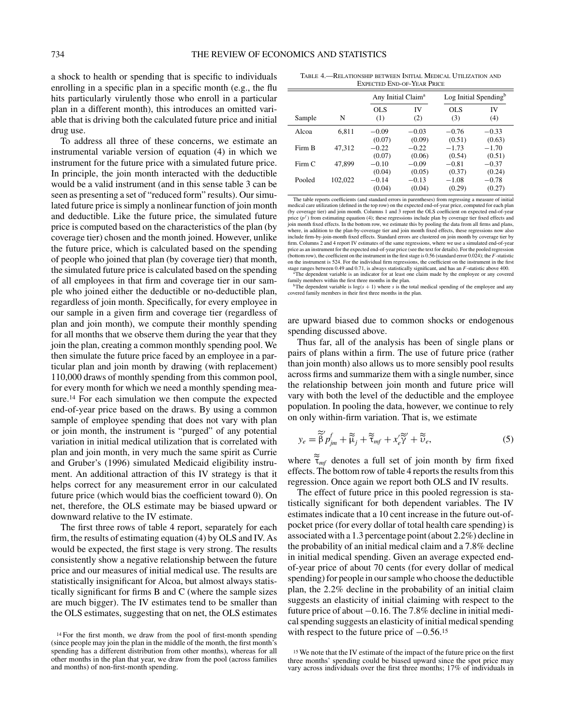a shock to health or spending that is specific to individuals enrolling in a specific plan in a specific month (e.g., the flu hits particularly virulently those who enroll in a particular plan in a different month), this introduces an omitted variable that is driving both the calculated future price and initial drug use.

To address all three of these concerns, we estimate an instrumental variable version of equation (4) in which we instrument for the future price with a simulated future price. In principle, the join month interacted with the deductible would be a valid instrument (and in this sense table 3 can be seen as presenting a set of "reduced form" results). Our simulated future price is simply a nonlinear function of join month and deductible. Like the future price, the simulated future price is computed based on the characteristics of the plan (by coverage tier) chosen and the month joined. However, unlike the future price, which is calculated based on the spending of people who joined that plan (by coverage tier) that month, the simulated future price is calculated based on the spending of all employees in that firm and coverage tier in our sample who joined either the deductible or no-deductible plan, regardless of join month. Specifically, for every employee in our sample in a given firm and coverage tier (regardless of plan and join month), we compute their monthly spending for all months that we observe them during the year that they join the plan, creating a common monthly spending pool. We then simulate the future price faced by an employee in a particular plan and join month by drawing (with replacement) 110,000 draws of monthly spending from this common pool, for every month for which we need a monthly spending measure.14 For each simulation we then compute the expected end-of-year price based on the draws. By using a common sample of employee spending that does not vary with plan or join month, the instrument is "purged" of any potential variation in initial medical utilization that is correlated with plan and join month, in very much the same spirit as Currie and Gruber's (1996) simulated Medicaid eligibility instrument. An additional attraction of this IV strategy is that it helps correct for any measurement error in our calculated future price (which would bias the coefficient toward 0). On net, therefore, the OLS estimate may be biased upward or downward relative to the IV estimate.

The first three rows of table 4 report, separately for each firm, the results of estimating equation (4) by OLS and IV. As would be expected, the first stage is very strong. The results consistently show a negative relationship between the future price and our measures of initial medical use. The results are statistically insignificant for Alcoa, but almost always statistically significant for firms B and C (where the sample sizes are much bigger). The IV estimates tend to be smaller than the OLS estimates, suggesting that on net, the OLS estimates

Table 4.—Relationship between Initial Medical Utilization and Expected End-of-Year Price

| ЕЛЕСТЕР ЕРРОГ<br><b>ILAN I NICL</b> |         |                                |                             |                                   |                             |  |  |  |
|-------------------------------------|---------|--------------------------------|-----------------------------|-----------------------------------|-----------------------------|--|--|--|
|                                     |         | Any Initial Claim <sup>a</sup> |                             | Log Initial Spending <sup>b</sup> |                             |  |  |  |
| Sample                              | N       | <b>OLS</b><br>(1)              | IV<br>(2)                   | OLS<br>(3)                        | IV<br>(4)                   |  |  |  |
| Alcoa                               | 6.811   | $-0.09$<br>(0.07)              | $-0.03$<br>(0.09)           | $-0.76$<br>(0.51)                 | $-0.33$<br>(0.63)           |  |  |  |
| Firm B                              | 47,312  | $-0.22$<br>(0.07)              | $-0.22$<br>(0.06)           | $-1.73$<br>(0.54)                 | $-1.70$<br>(0.51)           |  |  |  |
| Firm C                              | 47.899  | $-0.10$                        | $-0.09$                     | $-0.81$                           | $-0.37$                     |  |  |  |
| Pooled                              | 102,022 | (0.04)<br>$-0.14$<br>(0.04)    | (0.05)<br>$-0.13$<br>(0.04) | (0.37)<br>$-1.08$<br>(0.29)       | (0.24)<br>$-0.78$<br>(0.27) |  |  |  |

The table reports coefficients (and standard errors in parentheses) from regressing a measure of initial medical care utilization (defined in the top row) on the expected end-of-year price, computed for each plan (by coverage tier) and join month. Columns 1 and 3 report the OLS coefficient on expected end-of-year price  $(p<sup>f</sup>)$  from estimating equation (4); these regressions include plan by coverage tier fixed effects and join month fixed effects. In the bottom row, we estimate this by pooling the data from all firms and plans, where, in addition to the plan-by-coverage tier and join month fixed effects, these regressions now also include firm-by-join-month fixed effects. Standard errors are clustered on join month by coverage tier by firm. Columns 2 and 4 report IV estimates of the same regressions, where we use a simulated end-of-year price as an instrument for the expected end-of-year price (see the text for details). For the pooled regression (bottom row), the coefficient on the instrument in the first stage is 0.56 (standard error 0.024); the *F*-statistic on the instrument is 524. For the individual firm regressions, the coefficient on the instrument in the first stage ranges between 0.49 and 0.71, is always statistically significant, and has an *F*-statistic above 400.<br><sup>a</sup>The dependent variable is an indicator for at least one claim made by the employee or any covered

family members within the first three months in the plan.<br><sup>b</sup>The dependent variable is  $log(s + 1)$  where *s* is the total medical spending of the employee and any

covered family members in their first three months in the plan.

are upward biased due to common shocks or endogenous spending discussed above.

Thus far, all of the analysis has been of single plans or pairs of plans within a firm. The use of future price (rather than join month) also allows us to more sensibly pool results across firms and summarize them with a single number, since the relationship between join month and future price will vary with both the level of the deductible and the employee -population. In pooling the data, however, we continue to rely on only within-firm variation. That is, we estimate *y* with both the level of the deduct<br>pulation. In pooling the data, howe<br>only within-firm variation. That is<br> $y_e = \tilde{\beta} p_{jm}^f + \tilde{\mu}_j + \tilde{\tau}_{mf} + x_e' \tilde{\gamma} + \tilde{\nu}_i$ 

on only within-IIrm variation. That is, we estimate  
\n
$$
y_e = \tilde{\beta} p_{jm}^f + \tilde{\tilde{\mu}}_j + \tilde{\tilde{\tau}}_{mf} + x_e' \tilde{\tilde{\gamma}}' + \tilde{\tilde{v}}_e,
$$
\n(5)  
\nwhere  $\tilde{\tilde{\tau}}_{mf}$  denotes a full set of join month by firm fixed

effects. The bottom row of table 4 reports the results from this regression. Once again we report both OLS and IV results.

The effect of future price in this pooled regression is statistically significant for both dependent variables. The IV estimates indicate that a 10 cent increase in the future out-ofpocket price (for every dollar of total health care spending) is associated with a 1.3 percentage point (about 2.2%) decline in the probability of an initial medical claim and a 7.8% decline in initial medical spending. Given an average expected endof-year price of about 70 cents (for every dollar of medical spending) for people in our sample who choose the deductible plan, the 2.2% decline in the probability of an initial claim suggests an elasticity of initial claiming with respect to the future price of about −0.16. The 7.8% decline in initial medical spending suggests an elasticity of initial medical spending with respect to the future price of  $-0.56$ .<sup>15</sup>

<sup>&</sup>lt;sup>14</sup> For the first month, we draw from the pool of first-month spending (since people may join the plan in the middle of the month, the first month's spending has a different distribution from other months), whereas for all other months in the plan that year, we draw from the pool (across families and months) of non-first-month spending.

<sup>15</sup> We note that the IV estimate of the impact of the future price on the first three months' spending could be biased upward since the spot price may vary across individuals over the first three months; 17% of individuals in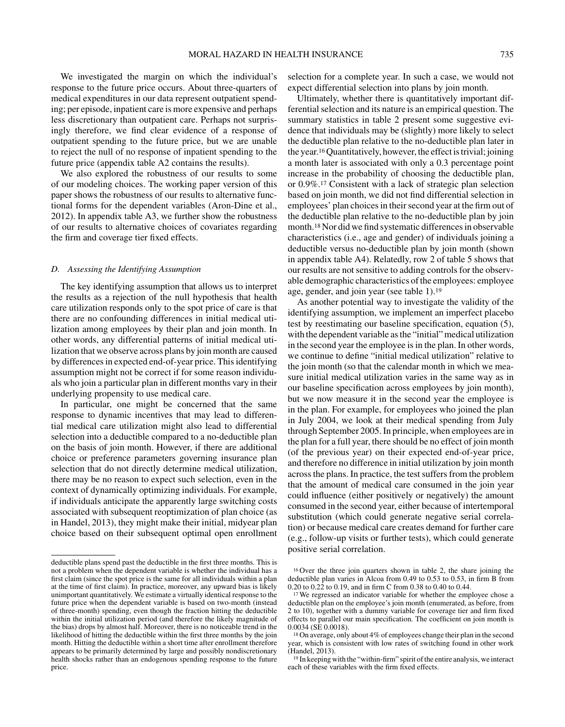We investigated the margin on which the individual's response to the future price occurs. About three-quarters of medical expenditures in our data represent outpatient spending; per episode, inpatient care is more expensive and perhaps less discretionary than outpatient care. Perhaps not surprisingly therefore, we find clear evidence of a response of outpatient spending to the future price, but we are unable to reject the null of no response of inpatient spending to the future price (appendix table A2 contains the results).

We also explored the robustness of our results to some of our modeling choices. The working paper version of this paper shows the robustness of our results to alternative functional forms for the dependent variables (Aron-Dine et al., 2012). In appendix table A3, we further show the robustness of our results to alternative choices of covariates regarding the firm and coverage tier fixed effects.

## *D. Assessing the Identifying Assumption*

The key identifying assumption that allows us to interpret the results as a rejection of the null hypothesis that health care utilization responds only to the spot price of care is that there are no confounding differences in initial medical utilization among employees by their plan and join month. In other words, any differential patterns of initial medical utilization that we observe across plans by join month are caused by differences in expected end-of-year price. This identifying assumption might not be correct if for some reason individuals who join a particular plan in different months vary in their underlying propensity to use medical care.

In particular, one might be concerned that the same response to dynamic incentives that may lead to differential medical care utilization might also lead to differential selection into a deductible compared to a no-deductible plan on the basis of join month. However, if there are additional choice or preference parameters governing insurance plan selection that do not directly determine medical utilization, there may be no reason to expect such selection, even in the context of dynamically optimizing individuals. For example, if individuals anticipate the apparently large switching costs associated with subsequent reoptimization of plan choice (as in Handel, 2013), they might make their initial, midyear plan choice based on their subsequent optimal open enrollment selection for a complete year. In such a case, we would not expect differential selection into plans by join month.

Ultimately, whether there is quantitatively important differential selection and its nature is an empirical question. The summary statistics in table 2 present some suggestive evidence that individuals may be (slightly) more likely to select the deductible plan relative to the no-deductible plan later in the year.16Quantitatively, however, the effect is trivial; joining a month later is associated with only a 0.3 percentage point increase in the probability of choosing the deductible plan, or 0.9%.17 Consistent with a lack of strategic plan selection based on join month, we did not find differential selection in employees' plan choices in their second year at the firm out of the deductible plan relative to the no-deductible plan by join month.18 Nor did we find systematic differences in observable characteristics (i.e., age and gender) of individuals joining a deductible versus no-deductible plan by join month (shown in appendix table A4). Relatedly, row 2 of table 5 shows that our results are not sensitive to adding controls for the observable demographic characteristics of the employees: employee age, gender, and join year (see table 1).19

As another potential way to investigate the validity of the identifying assumption, we implement an imperfect placebo test by reestimating our baseline specification, equation (5), with the dependent variable as the "initial" medical utilization in the second year the employee is in the plan. In other words, we continue to define "initial medical utilization" relative to the join month (so that the calendar month in which we measure initial medical utilization varies in the same way as in our baseline specification across employees by join month), but we now measure it in the second year the employee is in the plan. For example, for employees who joined the plan in July 2004, we look at their medical spending from July through September 2005. In principle, when employees are in the plan for a full year, there should be no effect of join month (of the previous year) on their expected end-of-year price, and therefore no difference in initial utilization by join month across the plans. In practice, the test suffers from the problem that the amount of medical care consumed in the join year could influence (either positively or negatively) the amount consumed in the second year, either because of intertemporal substitution (which could generate negative serial correlation) or because medical care creates demand for further care (e.g., follow-up visits or further tests), which could generate positive serial correlation.

deductible plans spend past the deductible in the first three months. This is not a problem when the dependent variable is whether the individual has a first claim (since the spot price is the same for all individuals within a plan at the time of first claim). In practice, moreover, any upward bias is likely unimportant quantitatively. We estimate a virtually identical response to the future price when the dependent variable is based on two-month (instead of three-month) spending, even though the fraction hitting the deductible within the initial utilization period (and therefore the likely magnitude of the bias) drops by almost half. Moreover, there is no noticeable trend in the likelihood of hitting the deductible within the first three months by the join month. Hitting the deductible within a short time after enrollment therefore appears to be primarily determined by large and possibly nondiscretionary health shocks rather than an endogenous spending response to the future price.

<sup>16</sup> Over the three join quarters shown in table 2, the share joining the deductible plan varies in Alcoa from 0.49 to 0.53 to 0.53, in firm B from 0.20 to 0.22 to 0.19, and in firm C from 0.38 to 0.40 to 0.44.

<sup>&</sup>lt;sup>17</sup> We regressed an indicator variable for whether the employee chose a deductible plan on the employee's join month (enumerated, as before, from 2 to 10), together with a dummy variable for coverage tier and firm fixed effects to parallel our main specification. The coefficient on join month is 0.0034 (SE 0.0018).

<sup>18</sup> On average, only about 4% of employees change their plan in the second year, which is consistent with low rates of switching found in other work (Handel, 2013).

<sup>19</sup> In keeping with the "within-firm" spirit of the entire analysis, we interact each of these variables with the firm fixed effects.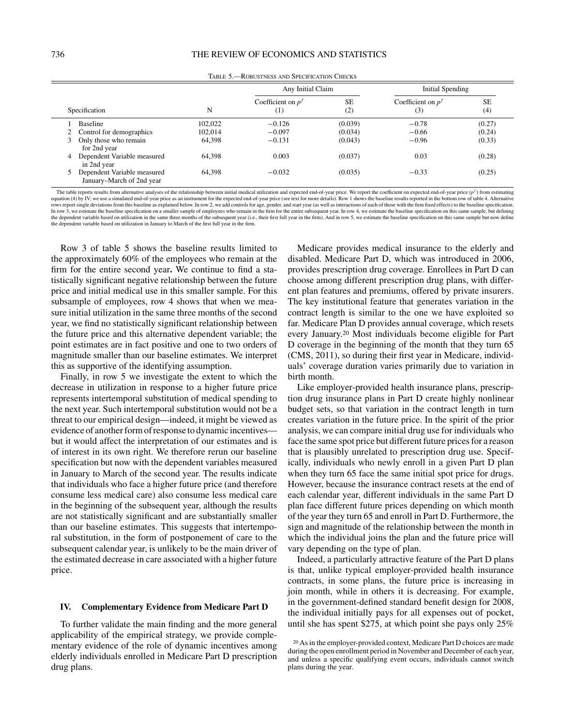|   |                                                          |         | Any Initial Claim               |                  | Initial Spending           |                  |
|---|----------------------------------------------------------|---------|---------------------------------|------------------|----------------------------|------------------|
|   | Specification                                            | N       | Coefficient on $pJ$<br>$^{(1)}$ | <b>SE</b><br>(2) | Coefficient on $pJ$<br>(3) | <b>SE</b><br>(4) |
|   | Baseline                                                 | 102,022 | $-0.126$                        | (0.039)          | $-0.78$                    | (0.27)           |
|   | 2 Control for demographics                               | 102.014 | $-0.097$                        | (0.034)          | $-0.66$                    | (0.24)           |
|   | Only those who remain<br>for 2nd year                    | 64,398  | $-0.131$                        | (0.043)          | $-0.96$                    | (0.33)           |
| 4 | Dependent Variable measured<br>in 2nd year               | 64.398  | 0.003                           | (0.037)          | 0.03                       | (0.28)           |
|   | Dependent Variable measured<br>January–March of 2nd year | 64.398  | $-0.032$                        | (0.035)          | $-0.33$                    | (0.25)           |

Table 5.—Robustness and Specification Checks

The table reports results from alternative analyses of the relationship between initial medical utilization and expected end-of-year price. We report the coefficient on expected end-of-year price  $(p^{f})$  from estimating equation (4) by IV; we use a simulated end-of-year price as an instrument for the expected end-of-year price (see text for more details). Row 1 shows the baseline results reported in the bottom row of table 4. Alternative rows report single deviations from this baseline as explained below. In row 2, we add controls for age, gender, and start year (as well as interactions of each of those with the firm fixed effects) to the baseline specific In row 3, we estimate the baseline specification on a smaller sample of employees who remain in the firm for the entire subsequent year. In row 4, we estimate the baseline specification on this same sample, but defining the dependent variable based on utilization in the same three months of the subsequent year (i.e., their first full year in the firm). And in row 5, we estimate the baseline specification on this same sample but now define the dependent variable based on utilization in January to March of the first full year in the firm.

Row 3 of table 5 shows the baseline results limited to the approximately 60% of the employees who remain at the firm for the entire second year**.** We continue to find a statistically significant negative relationship between the future price and initial medical use in this smaller sample. For this subsample of employees, row 4 shows that when we measure initial utilization in the same three months of the second year, we find no statistically significant relationship between the future price and this alternative dependent variable; the point estimates are in fact positive and one to two orders of magnitude smaller than our baseline estimates. We interpret this as supportive of the identifying assumption.

Finally, in row 5 we investigate the extent to which the decrease in utilization in response to a higher future price represents intertemporal substitution of medical spending to the next year. Such intertemporal substitution would not be a threat to our empirical design—indeed, it might be viewed as evidence of another form of response to dynamic incentives but it would affect the interpretation of our estimates and is of interest in its own right. We therefore rerun our baseline specification but now with the dependent variables measured in January to March of the second year. The results indicate that individuals who face a higher future price (and therefore consume less medical care) also consume less medical care in the beginning of the subsequent year, although the results are not statistically significant and are substantially smaller than our baseline estimates. This suggests that intertemporal substitution, in the form of postponement of care to the subsequent calendar year, is unlikely to be the main driver of the estimated decrease in care associated with a higher future price.

## **IV. Complementary Evidence from Medicare Part D**

To further validate the main finding and the more general applicability of the empirical strategy, we provide complementary evidence of the role of dynamic incentives among elderly individuals enrolled in Medicare Part D prescription drug plans.

Medicare provides medical insurance to the elderly and disabled. Medicare Part D, which was introduced in 2006, provides prescription drug coverage. Enrollees in Part D can choose among different prescription drug plans, with different plan features and premiums, offered by private insurers. The key institutional feature that generates variation in the contract length is similar to the one we have exploited so far. Medicare Plan D provides annual coverage, which resets every January.20 Most individuals become eligible for Part D coverage in the beginning of the month that they turn 65 (CMS, 2011), so during their first year in Medicare, individuals' coverage duration varies primarily due to variation in birth month.

Like employer-provided health insurance plans, prescription drug insurance plans in Part D create highly nonlinear budget sets, so that variation in the contract length in turn creates variation in the future price. In the spirit of the prior analysis, we can compare initial drug use for individuals who face the same spot price but different future prices for a reason that is plausibly unrelated to prescription drug use. Specifically, individuals who newly enroll in a given Part D plan when they turn 65 face the same initial spot price for drugs. However, because the insurance contract resets at the end of each calendar year, different individuals in the same Part D plan face different future prices depending on which month of the year they turn 65 and enroll in Part D. Furthermore, the sign and magnitude of the relationship between the month in which the individual joins the plan and the future price will vary depending on the type of plan.

Indeed, a particularly attractive feature of the Part D plans is that, unlike typical employer-provided health insurance contracts, in some plans, the future price is increasing in join month, while in others it is decreasing. For example, in the government-defined standard benefit design for 2008, the individual initially pays for all expenses out of pocket, until she has spent \$275, at which point she pays only 25%

<sup>20</sup> As in the employer-provided context, Medicare Part D choices are made during the open enrollment period in November and December of each year, and unless a specific qualifying event occurs, individuals cannot switch plans during the year.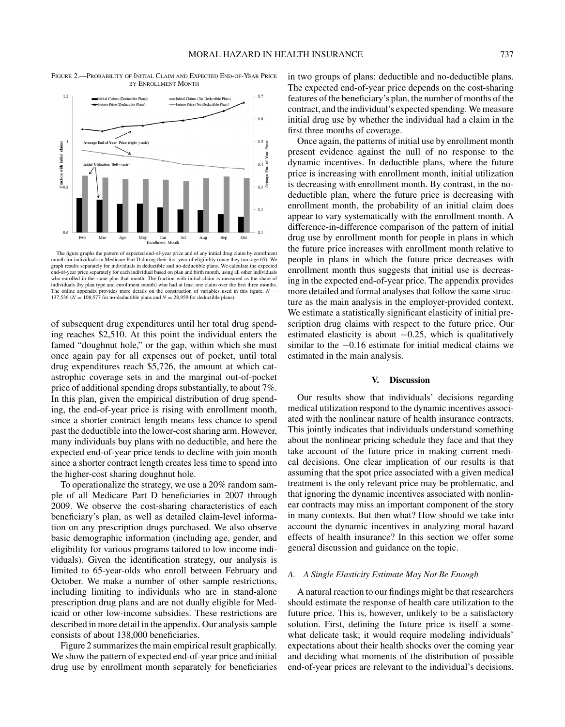Figure 2.—Probability of Initial Claim and Expected End-of-Year Price by Enrollment Month



The figure graphs the pattern of expected end-of-year price and of any initial drug claim by enrollment month for individuals in Medicare Part D during their first year of eligibility (once they turn age 65). We graph results separately for individuals in deductible and no-deductible plans. We calculate the expected graph results separately for individuals in deductible and no-deductible plan end-of-year price separately for each individual based on plan and birth month, using all other individuals who enrolled in the same plan that month. The fraction with initial claim is measured as the share of individuals (by plan type and enrollment month) who had at least one claim over the first three months. The online appendix provides more details on the construction of variables used in this figure.  $N =$ 137,536 ( $N = 108,577$  for no-deductible plans and  $N = 28,959$  for deductible plans).

of subsequent drug expenditures until her total drug spending reaches \$2,510. At this point the individual enters the famed "doughnut hole," or the gap, within which she must once again pay for all expenses out of pocket, until total drug expenditures reach \$5,726, the amount at which catastrophic coverage sets in and the marginal out-of-pocket price of additional spending drops substantially, to about 7%. In this plan, given the empirical distribution of drug spending, the end-of-year price is rising with enrollment month, since a shorter contract length means less chance to spend past the deductible into the lower-cost sharing arm. However, many individuals buy plans with no deductible, and here the expected end-of-year price tends to decline with join month since a shorter contract length creates less time to spend into the higher-cost sharing doughnut hole.

To operationalize the strategy, we use a 20% random sample of all Medicare Part D beneficiaries in 2007 through 2009. We observe the cost-sharing characteristics of each beneficiary's plan, as well as detailed claim-level information on any prescription drugs purchased. We also observe basic demographic information (including age, gender, and eligibility for various programs tailored to low income individuals). Given the identification strategy, our analysis is limited to 65-year-olds who enroll between February and October. We make a number of other sample restrictions, including limiting to individuals who are in stand-alone prescription drug plans and are not dually eligible for Medicaid or other low-income subsidies. These restrictions are described in more detail in the appendix. Our analysis sample consists of about 138,000 beneficiaries.

Figure 2 summarizes the main empirical result graphically. We show the pattern of expected end-of-year price and initial drug use by enrollment month separately for beneficiaries in two groups of plans: deductible and no-deductible plans. The expected end-of-year price depends on the cost-sharing features of the beneficiary's plan, the number of months of the contract, and the individual's expected spending. We measure initial drug use by whether the individual had a claim in the first three months of coverage.

Once again, the patterns of initial use by enrollment month present evidence against the null of no response to the dynamic incentives. In deductible plans, where the future price is increasing with enrollment month, initial utilization is decreasing with enrollment month. By contrast, in the nodeductible plan, where the future price is decreasing with enrollment month, the probability of an initial claim does appear to vary systematically with the enrollment month. A difference-in-difference comparison of the pattern of initial drug use by enrollment month for people in plans in which the future price increases with enrollment month relative to people in plans in which the future price decreases with enrollment month thus suggests that initial use is decreasing in the expected end-of-year price. The appendix provides more detailed and formal analyses that follow the same structure as the main analysis in the employer-provided context. We estimate a statistically significant elasticity of initial prescription drug claims with respect to the future price. Our estimated elasticity is about  $-0.25$ , which is qualitatively similar to the −0.16 estimate for initial medical claims we estimated in the main analysis.

## **V. Discussion**

Our results show that individuals' decisions regarding medical utilization respond to the dynamic incentives associated with the nonlinear nature of health insurance contracts. This jointly indicates that individuals understand something about the nonlinear pricing schedule they face and that they take account of the future price in making current medical decisions. One clear implication of our results is that assuming that the spot price associated with a given medical treatment is the only relevant price may be problematic, and that ignoring the dynamic incentives associated with nonlinear contracts may miss an important component of the story in many contexts. But then what? How should we take into account the dynamic incentives in analyzing moral hazard effects of health insurance? In this section we offer some general discussion and guidance on the topic.

## *A. A Single Elasticity Estimate May Not Be Enough*

A natural reaction to our findings might be that researchers should estimate the response of health care utilization to the future price. This is, however, unlikely to be a satisfactory solution. First, defining the future price is itself a somewhat delicate task; it would require modeling individuals' expectations about their health shocks over the coming year and deciding what moments of the distribution of possible end-of-year prices are relevant to the individual's decisions.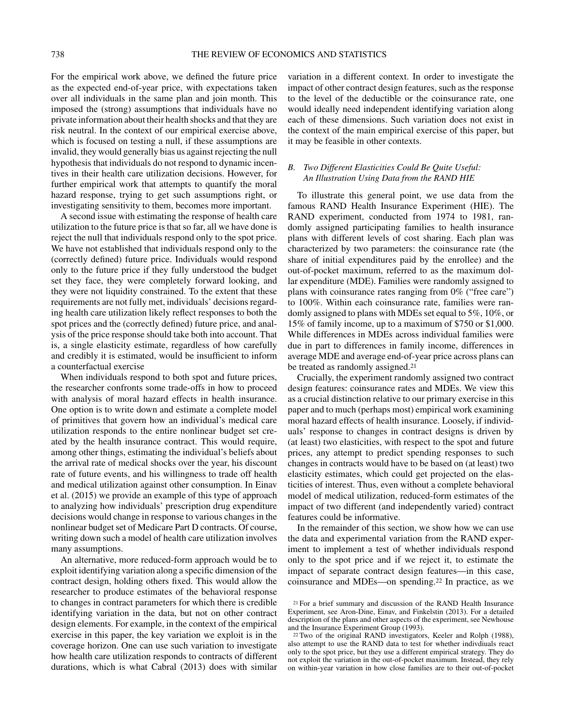For the empirical work above, we defined the future price as the expected end-of-year price, with expectations taken over all individuals in the same plan and join month. This imposed the (strong) assumptions that individuals have no private information about their health shocks and that they are risk neutral. In the context of our empirical exercise above, which is focused on testing a null, if these assumptions are invalid, they would generally bias us against rejecting the null hypothesis that individuals do not respond to dynamic incentives in their health care utilization decisions. However, for further empirical work that attempts to quantify the moral hazard response, trying to get such assumptions right, or investigating sensitivity to them, becomes more important.

A second issue with estimating the response of health care utilization to the future price is that so far, all we have done is reject the null that individuals respond only to the spot price. We have not established that individuals respond only to the (correctly defined) future price. Individuals would respond only to the future price if they fully understood the budget set they face, they were completely forward looking, and they were not liquidity constrained. To the extent that these requirements are not fully met, individuals' decisions regarding health care utilization likely reflect responses to both the spot prices and the (correctly defined) future price, and analysis of the price response should take both into account. That is, a single elasticity estimate, regardless of how carefully and credibly it is estimated, would be insufficient to inform a counterfactual exercise

When individuals respond to both spot and future prices, the researcher confronts some trade-offs in how to proceed with analysis of moral hazard effects in health insurance. One option is to write down and estimate a complete model of primitives that govern how an individual's medical care utilization responds to the entire nonlinear budget set created by the health insurance contract. This would require, among other things, estimating the individual's beliefs about the arrival rate of medical shocks over the year, his discount rate of future events, and his willingness to trade off health and medical utilization against other consumption. In Einav et al. (2015) we provide an example of this type of approach to analyzing how individuals' prescription drug expenditure decisions would change in response to various changes in the nonlinear budget set of Medicare Part D contracts. Of course, writing down such a model of health care utilization involves many assumptions.

An alternative, more reduced-form approach would be to exploit identifying variation along a specific dimension of the contract design, holding others fixed. This would allow the researcher to produce estimates of the behavioral response to changes in contract parameters for which there is credible identifying variation in the data, but not on other contract design elements. For example, in the context of the empirical exercise in this paper, the key variation we exploit is in the coverage horizon. One can use such variation to investigate how health care utilization responds to contracts of different durations, which is what Cabral (2013) does with similar

variation in a different context. In order to investigate the impact of other contract design features, such as the response to the level of the deductible or the coinsurance rate, one would ideally need independent identifying variation along each of these dimensions. Such variation does not exist in the context of the main empirical exercise of this paper, but it may be feasible in other contexts.

# *B. Two Different Elasticities Could Be Quite Useful: An Illustration Using Data from the RAND HIE*

To illustrate this general point, we use data from the famous RAND Health Insurance Experiment (HIE). The RAND experiment, conducted from 1974 to 1981, randomly assigned participating families to health insurance plans with different levels of cost sharing. Each plan was characterized by two parameters: the coinsurance rate (the share of initial expenditures paid by the enrollee) and the out-of-pocket maximum, referred to as the maximum dollar expenditure (MDE). Families were randomly assigned to plans with coinsurance rates ranging from 0% ("free care") to 100%. Within each coinsurance rate, families were randomly assigned to plans with MDEs set equal to 5%, 10%, or 15% of family income, up to a maximum of \$750 or \$1,000. While differences in MDEs across individual families were due in part to differences in family income, differences in average MDE and average end-of-year price across plans can be treated as randomly assigned.21

Crucially, the experiment randomly assigned two contract design features: coinsurance rates and MDEs. We view this as a crucial distinction relative to our primary exercise in this paper and to much (perhaps most) empirical work examining moral hazard effects of health insurance. Loosely, if individuals' response to changes in contract designs is driven by (at least) two elasticities, with respect to the spot and future prices, any attempt to predict spending responses to such changes in contracts would have to be based on (at least) two elasticity estimates, which could get projected on the elasticities of interest. Thus, even without a complete behavioral model of medical utilization, reduced-form estimates of the impact of two different (and independently varied) contract features could be informative.

In the remainder of this section, we show how we can use the data and experimental variation from the RAND experiment to implement a test of whether individuals respond only to the spot price and if we reject it, to estimate the impact of separate contract design features—in this case, coinsurance and MDEs—on spending.22 In practice, as we

<sup>21</sup> For a brief summary and discussion of the RAND Health Insurance Experiment, see Aron-Dine, Einav, and Finkelstin (2013). For a detailed description of the plans and other aspects of the experiment, see Newhouse and the Insurance Experiment Group (1993).

<sup>22</sup> Two of the original RAND investigators, Keeler and Rolph (1988), also attempt to use the RAND data to test for whether indivdiuals react only to the spot price, but they use a different empirical strategy. They do not exploit the variation in the out-of-pocket maximum. Instead, they rely on within-year variation in how close families are to their out-of-pocket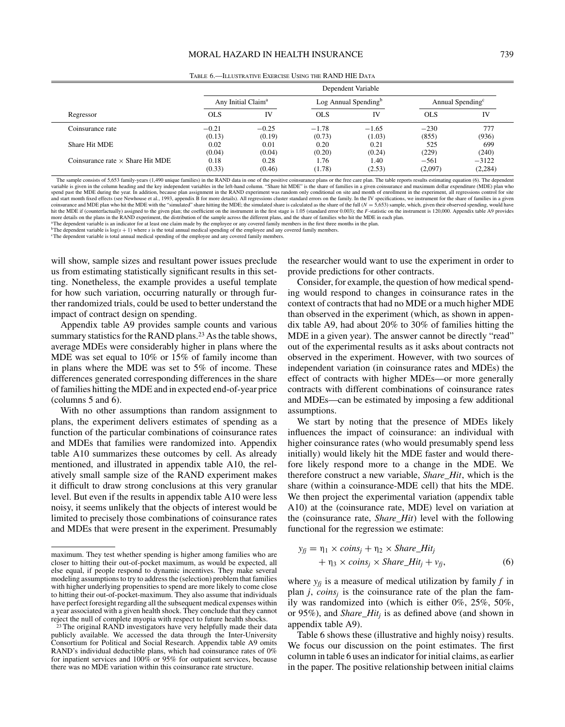|                                         |                | Dependent Variable             |                |                         |                 |                              |  |  |
|-----------------------------------------|----------------|--------------------------------|----------------|-------------------------|-----------------|------------------------------|--|--|
|                                         |                | Any Initial Claim <sup>a</sup> |                | Log Annual Spending $b$ |                 | Annual Spending <sup>c</sup> |  |  |
| Regressor                               | <b>OLS</b>     | IV                             | OLS            | IV                      | <b>OLS</b>      | IV                           |  |  |
| Coinsurance rate                        | $-0.21$        | $-0.25$                        | $-1.78$        | $-1.65$                 | $-230$          | 777                          |  |  |
| Share Hit MDE                           | (0.13)<br>0.02 | (0.19)<br>0.01                 | (0.73)<br>0.20 | (1.03)<br>0.21          | (855)<br>525    | (936)<br>699                 |  |  |
| Coinsurance rate $\times$ Share Hit MDE | (0.04)<br>0.18 | (0.04)<br>0.28                 | (0.20)<br>l.76 | (0.24)<br>1.40          | (229)<br>$-561$ | (240)<br>$-3122$             |  |  |
|                                         | (0.33)         | (0.46)                         | (1.78)         | (2.53)                  | (2,097)         | (2,284)                      |  |  |

Table 6.—Illustrative Exercise Using the RAND HIE Data

The sample consists of 5,653 family-years (1,490 unique families) in the RAND data in one of the positive coinsurance plans or the free care plan. The table reports results estimating equation (6). The dependent variable is given in the column heading and the key independent variables in the left-hand column. "Share hit MDE" is the share of families in a given coinsurance and maximum dollar expenditure (MDE) plan who spend past the MDE during the year. In addition, because plan assignment in the RAND experiment was random only conditional on site and month of enrollment in the experiment, all regressions control for site.<br>and start mon hit the MDE if (counterfactually) assigned to the given plan; the coefficient on the instrument in the first stage is 1.05 (standard error 0.003); the F-statistic on the instrument is 120,000. Appendix table A9 provides more details on the plans in the RAND experiment, the distribution of the sample across the different plans, and the share of families who hit the MDE in each plan.

aThe dependent variable is an indicator for at least one claim made by the employee or any covered family members in the first three months in the plan.

 $b$ The dependent variable is  $log(s + 1)$  where *s* is the total annual medical spending of the employee and any covered family members.

<sup>c</sup>The dependent variable is total annual medical spending of the employee and any covered family members.

will show, sample sizes and resultant power issues preclude us from estimating statistically significant results in this setting. Nonetheless, the example provides a useful template for how such variation, occurring naturally or through further randomized trials, could be used to better understand the impact of contract design on spending.

Appendix table A9 provides sample counts and various summary statistics for the RAND plans.<sup>23</sup> As the table shows, average MDEs were considerably higher in plans where the MDE was set equal to 10% or 15% of family income than in plans where the MDE was set to 5% of income. These differences generated corresponding differences in the share of families hitting the MDE and in expected end-of-year price (columns 5 and 6).

With no other assumptions than random assignment to plans, the experiment delivers estimates of spending as a function of the particular combinations of coinsurance rates and MDEs that families were randomized into. Appendix table A10 summarizes these outcomes by cell. As already mentioned, and illustrated in appendix table A10, the relatively small sample size of the RAND experiment makes it difficult to draw strong conclusions at this very granular level. But even if the results in appendix table A10 were less noisy, it seems unlikely that the objects of interest would be limited to precisely those combinations of coinsurance rates and MDEs that were present in the experiment. Presumably

the researcher would want to use the experiment in order to provide predictions for other contracts.

Consider, for example, the question of how medical spending would respond to changes in coinsurance rates in the context of contracts that had no MDE or a much higher MDE than observed in the experiment (which, as shown in appendix table A9, had about 20% to 30% of families hitting the MDE in a given year). The answer cannot be directly "read" out of the experimental results as it asks about contracts not observed in the experiment. However, with two sources of independent variation (in coinsurance rates and MDEs) the effect of contracts with higher MDEs—or more generally contracts with different combinations of coinsurance rates and MDEs—can be estimated by imposing a few additional assumptions.

We start by noting that the presence of MDEs likely influences the impact of coinsurance: an individual with higher coinsurance rates (who would presumably spend less initially) would likely hit the MDE faster and would therefore likely respond more to a change in the MDE. We therefore construct a new variable, *Share*\_*Hit*, which is the share (within a coinsurance-MDE cell) that hits the MDE. We then project the experimental variation (appendix table A10) at the (coinsurance rate, MDE) level on variation at the (coinsurance rate, *Share*\_*Hit*) level with the following functional for the regression we estimate:

$$
y_{jj} = \eta_1 \times coins_j + \eta_2 \times Share\_Hit_j
$$
  
+ 
$$
\eta_3 \times coins_j \times Share\_Hit_j + v_{jj},
$$
 (6)

where  $y_f$  is a measure of medical utilization by family  $f$  in plan  $j$ , *coins<sub>i</sub>* is the coinsurance rate of the plan the family was randomized into (which is either 0%, 25%, 50%, or 95%), and *Share*\_*Hitj* is as defined above (and shown in appendix table A9).

Table 6 shows these (illustrative and highly noisy) results. We focus our discussion on the point estimates. The first column in table 6 uses an indicator for initial claims, as earlier in the paper. The positive relationship between initial claims

maximum. They test whether spending is higher among families who are closer to hitting their out-of-pocket maximum, as would be expected, all else equal, if people respond to dynamic incentives. They make several modeling assumptions to try to address the (selection) problem that families with higher underlying propensities to spend are more likely to come close to hitting their out-of-pocket-maximum. They also assume that individuals have perfect foresight regarding all the subsequent medical expenses within a year associated with a given health shock. They conclude that they cannot reject the null of complete myopia with respect to future health shocks.

<sup>23</sup> The original RAND investigators have very helpfully made their data publicly available. We accessed the data through the Inter-University Consortium for Political and Social Research. Appendix table A9 omits RAND's individual deductible plans, which had coinsurance rates of 0% for inpatient services and 100% or 95% for outpatient services, because there was no MDE variation within this coinsurance rate structure.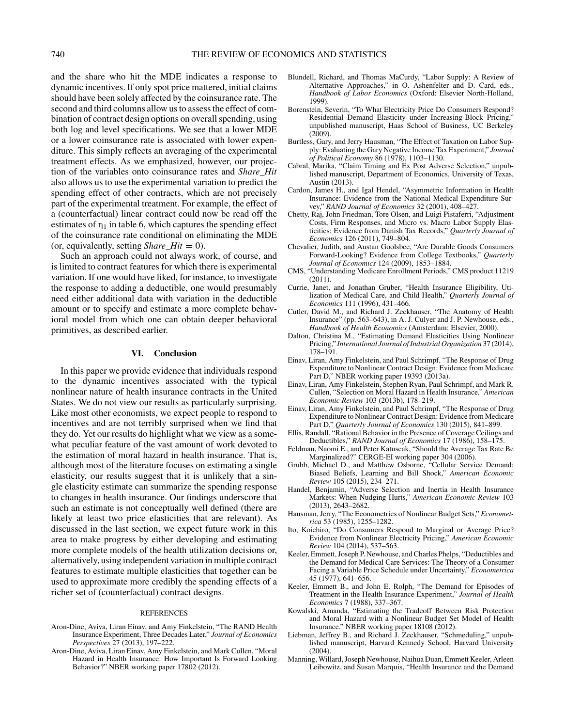and the share who hit the MDE indicates a response to dynamic incentives. If only spot price mattered, initial claims should have been solely affected by the coinsurance rate. The second and third columns allow us to assess the effect of combination of contract design options on overall spending, using both log and level specifications. We see that a lower MDE or a lower coinsurance rate is associated with lower expenditure. This simply reflects an averaging of the experimental treatment effects. As we emphasized, however, our projection of the variables onto coinsurance rates and *Share*\_*Hit* also allows us to use the experimental variation to predict the spending effect of other contracts, which are not precisely part of the experimental treatment. For example, the effect of a (counterfactual) linear contract could now be read off the estimates of  $\eta_1$  in table 6, which captures the spending effect of the coinsurance rate conditional on eliminating the MDE (or, equivalently, setting *Share\_Hit* = 0).

Such an approach could not always work, of course, and is limited to contract features for which there is experimental variation. If one would have liked, for instance, to investigate the response to adding a deductible, one would presumably need either additional data with variation in the deductible amount or to specify and estimate a more complete behavioral model from which one can obtain deeper behavioral primitives, as described earlier.

## **VI. Conclusion**

In this paper we provide evidence that individuals respond to the dynamic incentives associated with the typical nonlinear nature of health insurance contracts in the United States. We do not view our results as particularly surprising. Like most other economists, we expect people to respond to incentives and are not terribly surprised when we find that they do. Yet our results do highlight what we view as a somewhat peculiar feature of the vast amount of work devoted to the estimation of moral hazard in health insurance. That is, although most of the literature focuses on estimating a single elasticity, our results suggest that it is unlikely that a single elasticity estimate can summarize the spending response to changes in health insurance. Our findings underscore that such an estimate is not conceptually well defined (there are likely at least two price elasticities that are relevant). As discussed in the last section, we expect future work in this area to make progress by either developing and estimating more complete models of the health utilization decisions or, alternatively, using independent variation in multiple contract features to estimate multiple elasticities that together can be used to approximate more credibly the spending effects of a richer set of (counterfactual) contract designs.

#### REFERENCES

- Aron-Dine, Aviva, Liran Einav, and Amy Finkelstein, "The RAND Health Insurance Experiment, Three Decades Later," *Journal of Economics Perspectives* 27 (2013), 197–222.
- Aron-Dine, Aviva, Liran Einav, Amy Finkelstein, and Mark Cullen, "Moral Hazard in Health Insurance: How Important Is Forward Looking Behavior?" NBER working paper 17802 (2012).
- Blundell, Richard, and Thomas MaCurdy, "Labor Supply: A Review of Alternative Approaches," in O. Ashenfelter and D. Card, eds., *Handbook of Labor Economics* (Oxford: Elsevier North-Holland, 1999).
- Borenstein, Severin, "To What Electricity Price Do Consumers Respond? Residential Demand Elasticity under Increasing-Block Pricing,' unpublished manuscript, Haas School of Business, UC Berkeley  $(2009)$ .
- Burtless, Gary, and Jerry Hausman, "The Effect of Taxation on Labor Supply: Evaluating the Gary Negative Income Tax Experiment," *Journal of Political Economy* 86 (1978), 1103–1130.
- Cabral, Marika, "Claim Timing and Ex Post Adverse Selection," unpublished manuscript, Department of Economics, University of Texas, Austin (2013).
- Cardon, James H., and Igal Hendel, "Asymmetric Information in Health Insurance: Evidence from the National Medical Expenditure Survey," *RAND Journal of Economics* 32 (2001), 408–427.
- Chetty, Raj, John Friedman, Tore Olsen, and Luigi Pistaferri, "Adjustment Costs, Firm Responses, and Micro vs. Macro Labor Supply Elasticities: Evidence from Danish Tax Records," *Quarterly Journal of Economics* 126 (2011), 749–804.
- Chevalier, Judith, and Austan Goolsbee, "Are Durable Goods Consumers Forward-Looking? Evidence from College Textbooks," *Quarterly Journal of Economics* 124 (2009), 1853–1884.
- CMS, "Understanding Medicare Enrollment Periods," CMS product 11219 (2011).
- Currie, Janet, and Jonathan Gruber, "Health Insurance Eligibility, Utilization of Medical Care, and Child Health," *Quarterly Journal of Economics* 111 (1996), 431–466.
- Cutler, David M., and Richard J. Zeckhauser, "The Anatomy of Health Insurance" (pp. 563–643), in A. J. Culyer and J. P. Newhouse, eds., *Handbook of Health Economics* (Amsterdam: Elsevier, 2000).
- Dalton, Christina M., "Estimating Demand Elasticities Using Nonlinear Pricing," *International Journal of Industrial Organization* 37 (2014), 178–191.
- Einav, Liran, Amy Finkelstein, and Paul Schrimpf, "The Response of Drug Expenditure to Nonlinear Contract Design: Evidence from Medicare Part D," NBER working paper 19393 (2013a).
- Einav, Liran, Amy Finkelstein, Stephen Ryan, Paul Schrimpf, and Mark R. Cullen, "Selection on Moral Hazard in Health Insurance," *American Economic Review* 103 (2013b), 178–219.
- Einav, Liran, Amy Finkelstein, and Paul Schrimpf, "The Response of Drug Expenditure to Nonlinear Contract Design: Evidence from Medicare Part D," *Quarterly Journal of Economics* 130 (2015), 841–899.
- Ellis, Randall, "Rational Behavior in the Presence of Coverage Ceilings and Deductibles," *RAND Journal of Economics* 17 (1986), 158–175.
- Feldman, Naomi E., and Peter Katuscak, "Should the Average Tax Rate Be Marginalized?" CERGE-EI working paper 304 (2006).
- Grubb, Michael D., and Matthew Osborne, "Cellular Service Demand: Biased Beliefs, Learning and Bill Shock," *American Economic Review* 105 (2015), 234–271.
- Handel, Benjamin, "Adverse Selection and Inertia in Health Insurance Markets: When Nudging Hurts," *American Economic Review* 103 (2013), 2643–2682.
- Hausman, Jerry, "The Econometrics of Nonlinear Budget Sets," *Econometrica* 53 (1985), 1255–1282.
- Ito, Koichiro, "Do Consumers Respond to Marginal or Average Price? Evidence from Nonlinear Electricity Pricing," *American Economic Review* 104 (2014), 537–563.
- Keeler, Emmett, Joseph P. Newhouse, and Charles Phelps, "Deductibles and the Demand for Medical Care Services: The Theory of a Consumer Facing a Variable Price Schedule under Uncertainty," *Econometrica* 45 (1977), 641–656.
- Keeler, Emmett B., and John E. Rolph, "The Demand for Episodes of Treatment in the Health Insurance Experiment," *Journal of Health Economics* 7 (1988), 337–367.
- Kowalski, Amanda, "Estimating the Tradeoff Between Risk Protection and Moral Hazard with a Nonlinear Budget Set Model of Health Insurance." NBER working paper 18108 (2012).
- Liebman, Jeffrey B., and Richard J. Zeckhauser, "Schmeduling," unpublished manuscript, Harvard Kennedy School, Harvard University (2004).
- Manning, Willard, Joseph Newhouse, Naihua Duan, Emmett Keeler, Arleen Leibowitz, and Susan Marquis, "Health Insurance and the Demand